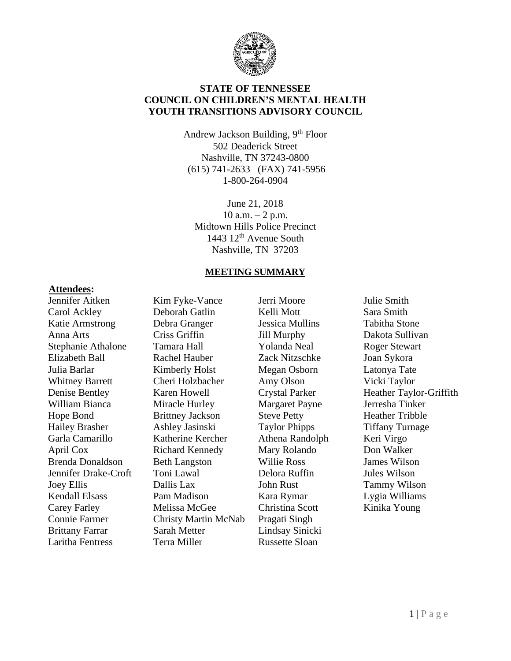

### **STATE OF TENNESSEE COUNCIL ON CHILDREN'S MENTAL HEALTH YOUTH TRANSITIONS ADVISORY COUNCIL**

Andrew Jackson Building, 9<sup>th</sup> Floor 502 Deaderick Street Nashville, TN 37243-0800 (615) 741-2633 (FAX) 741-5956 1-800-264-0904

June 21, 2018 10 a.m.  $-2$  p.m. Midtown Hills Police Precinct 1443 12<sup>th</sup> Avenue South Nashville, TN 37203

#### **MEETING SUMMARY**

#### **Attendees:**

Jennifer Aitken Carol Ackley Katie Armstrong Anna Arts Stephanie Athalone Elizabeth Ball Julia Barlar Whitney Barrett Denise Bentley William Bianca Hope Bond Hailey Brasher Garla Camarillo April Cox Brenda Donaldson Jennifer Drake-Croft Joey Ellis Kendall Elsass Carey Farley Connie Farmer Brittany Farrar Laritha Fentress

Kim Fyke-Vance Deborah Gatlin Debra Granger Criss Griffin Tamara Hall Rachel Hauber Kimberly Holst Cheri Holzbacher Karen Howell Miracle Hurley Brittney Jackson Ashley Jasinski Katherine Kercher Richard Kennedy Beth Langston Toni Lawal Dallis Lax Pam Madison Melissa McGee Christy Martin McNab Sarah Metter Terra Miller

Jerri Moore Kelli Mott Jessica Mullins Jill Murphy Yolanda Neal Zack Nitzschke Megan Osborn Amy Olson Crystal Parker Margaret Payne Steve Petty Taylor Phipps Athena Randolph Mary Rolando Willie Ross Delora Ruffin John Rust Kara Rymar Christina Scott Pragati Singh Lindsay Sinicki Russette Sloan

Julie Smith Sara Smith Tabitha Stone Dakota Sullivan Roger Stewart Joan Sykora Latonya Tate Vicki Taylor Heather Taylor-Griffith Jerresha Tinker Heather Tribble Tiffany Turnage Keri Virgo Don Walker James Wilson Jules Wilson Tammy Wilson Lygia Williams Kinika Young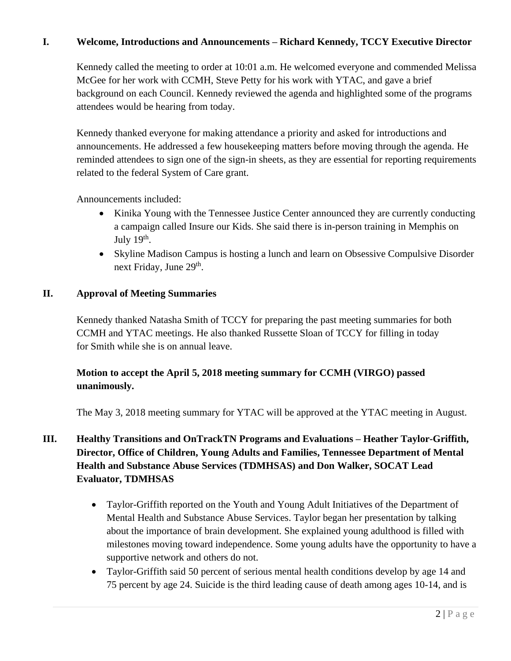### **I. Welcome, Introductions and Announcements – Richard Kennedy, TCCY Executive Director**

Kennedy called the meeting to order at 10:01 a.m. He welcomed everyone and commended Melissa McGee for her work with CCMH, Steve Petty for his work with YTAC, and gave a brief background on each Council. Kennedy reviewed the agenda and highlighted some of the programs attendees would be hearing from today.

Kennedy thanked everyone for making attendance a priority and asked for introductions and announcements. He addressed a few housekeeping matters before moving through the agenda. He reminded attendees to sign one of the sign-in sheets, as they are essential for reporting requirements related to the federal System of Care grant.

Announcements included:

- Kinika Young with the Tennessee Justice Center announced they are currently conducting a campaign called Insure our Kids. She said there is in-person training in Memphis on July  $19<sup>th</sup>$ .
- Skyline Madison Campus is hosting a lunch and learn on Obsessive Compulsive Disorder next Friday, June 29<sup>th</sup>.

#### **II. Approval of Meeting Summaries**

Kennedy thanked Natasha Smith of TCCY for preparing the past meeting summaries for both CCMH and YTAC meetings. He also thanked Russette Sloan of TCCY for filling in today for Smith while she is on annual leave.

## **Motion to accept the April 5, 2018 meeting summary for CCMH (VIRGO) passed unanimously.**

The May 3, 2018 meeting summary for YTAC will be approved at the YTAC meeting in August.

# **III. Healthy Transitions and OnTrackTN Programs and Evaluations – Heather Taylor-Griffith, Director, Office of Children, Young Adults and Families, Tennessee Department of Mental Health and Substance Abuse Services (TDMHSAS) and Don Walker, SOCAT Lead Evaluator, TDMHSAS**

- Taylor-Griffith reported on the Youth and Young Adult Initiatives of the Department of Mental Health and Substance Abuse Services. Taylor began her presentation by talking about the importance of brain development. She explained young adulthood is filled with milestones moving toward independence. Some young adults have the opportunity to have a supportive network and others do not.
- Taylor-Griffith said 50 percent of serious mental health conditions develop by age 14 and 75 percent by age 24. Suicide is the third leading cause of death among ages 10-14, and is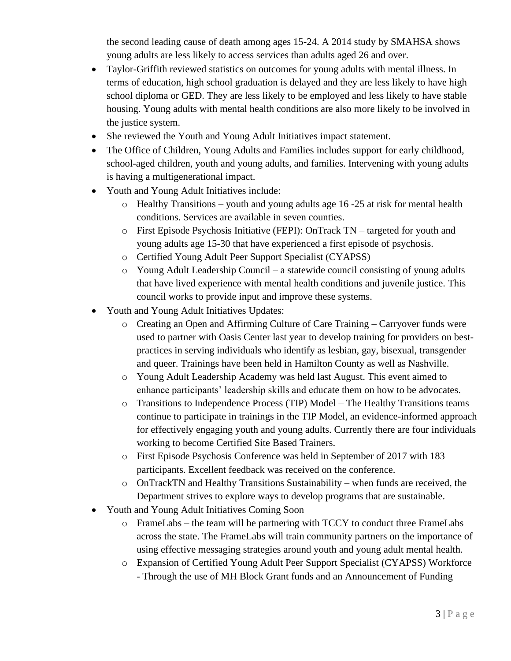the second leading cause of death among ages 15-24. A 2014 study by SMAHSA shows young adults are less likely to access services than adults aged 26 and over.

- Taylor-Griffith reviewed statistics on outcomes for young adults with mental illness. In terms of education, high school graduation is delayed and they are less likely to have high school diploma or GED. They are less likely to be employed and less likely to have stable housing. Young adults with mental health conditions are also more likely to be involved in the justice system.
- She reviewed the Youth and Young Adult Initiatives impact statement.
- The Office of Children, Young Adults and Families includes support for early childhood, school-aged children, youth and young adults, and families. Intervening with young adults is having a multigenerational impact.
- Youth and Young Adult Initiatives include:
	- o Healthy Transitions youth and young adults age 16 -25 at risk for mental health conditions. Services are available in seven counties.
	- o First Episode Psychosis Initiative (FEPI): OnTrack TN targeted for youth and young adults age 15-30 that have experienced a first episode of psychosis.
	- o Certified Young Adult Peer Support Specialist (CYAPSS)
	- o Young Adult Leadership Council a statewide council consisting of young adults that have lived experience with mental health conditions and juvenile justice. This council works to provide input and improve these systems.
- Youth and Young Adult Initiatives Updates:
	- o Creating an Open and Affirming Culture of Care Training Carryover funds were used to partner with Oasis Center last year to develop training for providers on bestpractices in serving individuals who identify as lesbian, gay, bisexual, transgender and queer. Trainings have been held in Hamilton County as well as Nashville.
	- o Young Adult Leadership Academy was held last August. This event aimed to enhance participants' leadership skills and educate them on how to be advocates.
	- o Transitions to Independence Process (TIP) Model The Healthy Transitions teams continue to participate in trainings in the TIP Model, an evidence-informed approach for effectively engaging youth and young adults. Currently there are four individuals working to become Certified Site Based Trainers.
	- o First Episode Psychosis Conference was held in September of 2017 with 183 participants. Excellent feedback was received on the conference.
	- o OnTrackTN and Healthy Transitions Sustainability when funds are received, the Department strives to explore ways to develop programs that are sustainable.
- Youth and Young Adult Initiatives Coming Soon
	- o FrameLabs the team will be partnering with TCCY to conduct three FrameLabs across the state. The FrameLabs will train community partners on the importance of using effective messaging strategies around youth and young adult mental health.
	- o Expansion of Certified Young Adult Peer Support Specialist (CYAPSS) Workforce - Through the use of MH Block Grant funds and an Announcement of Funding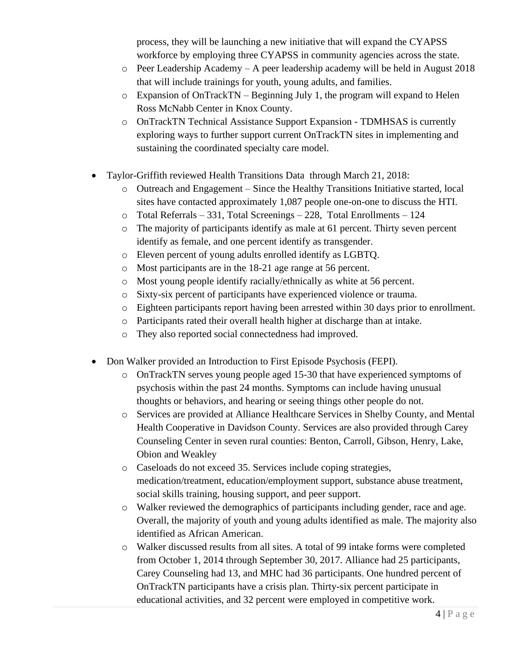process, they will be launching a new initiative that will expand the CYAPSS workforce by employing three CYAPSS in community agencies across the state.

- o Peer Leadership Academy A peer leadership academy will be held in August 2018 that will include trainings for youth, young adults, and families.
- o Expansion of OnTrackTN Beginning July 1, the program will expand to Helen Ross McNabb Center in Knox County.
- o OnTrackTN Technical Assistance Support Expansion TDMHSAS is currently exploring ways to further support current OnTrackTN sites in implementing and sustaining the coordinated specialty care model.
- Taylor-Griffith reviewed Health Transitions Data through March 21, 2018:
	- o Outreach and Engagement Since the Healthy Transitions Initiative started, local sites have contacted approximately 1,087 people one-on-one to discuss the HTI.
	- o Total Referrals 331, Total Screenings 228, Total Enrollments 124
	- o The majority of participants identify as male at 61 percent. Thirty seven percent identify as female, and one percent identify as transgender.
	- o Eleven percent of young adults enrolled identify as LGBTQ.
	- o Most participants are in the 18-21 age range at 56 percent.
	- o Most young people identify racially/ethnically as white at 56 percent.
	- o Sixty-six percent of participants have experienced violence or trauma.
	- o Eighteen participants report having been arrested within 30 days prior to enrollment.
	- o Participants rated their overall health higher at discharge than at intake.
	- o They also reported social connectedness had improved.
- Don Walker provided an Introduction to First Episode Psychosis (FEPI).
	- o OnTrackTN serves young people aged 15-30 that have experienced symptoms of psychosis within the past 24 months. Symptoms can include having unusual thoughts or behaviors, and hearing or seeing things other people do not.
	- o Services are provided at Alliance Healthcare Services in Shelby County, and Mental Health Cooperative in Davidson County. Services are also provided through Carey Counseling Center in seven rural counties: Benton, Carroll, Gibson, Henry, Lake, Obion and Weakley
	- o Caseloads do not exceed 35. Services include coping strategies, medication/treatment, education/employment support, substance abuse treatment, social skills training, housing support, and peer support.
	- o Walker reviewed the demographics of participants including gender, race and age. Overall, the majority of youth and young adults identified as male. The majority also identified as African American.
	- o Walker discussed results from all sites. A total of 99 intake forms were completed from October 1, 2014 through September 30, 2017. Alliance had 25 participants, Carey Counseling had 13, and MHC had 36 participants. One hundred percent of OnTrackTN participants have a crisis plan. Thirty-six percent participate in educational activities, and 32 percent were employed in competitive work.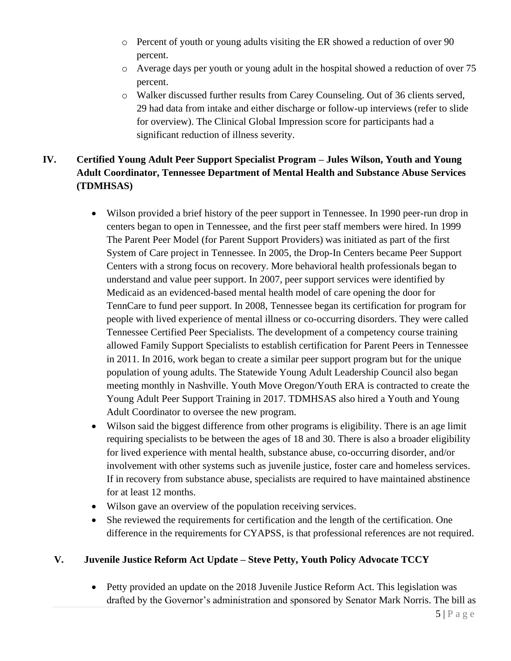- $\circ$  Percent of youth or young adults visiting the ER showed a reduction of over 90 percent.
- o Average days per youth or young adult in the hospital showed a reduction of over 75 percent.
- o Walker discussed further results from Carey Counseling. Out of 36 clients served, 29 had data from intake and either discharge or follow-up interviews (refer to slide for overview). The Clinical Global Impression score for participants had a significant reduction of illness severity.

# **IV. Certified Young Adult Peer Support Specialist Program – Jules Wilson, Youth and Young Adult Coordinator, Tennessee Department of Mental Health and Substance Abuse Services (TDMHSAS)**

- Wilson provided a brief history of the peer support in Tennessee. In 1990 peer-run drop in centers began to open in Tennessee, and the first peer staff members were hired. In 1999 The Parent Peer Model (for Parent Support Providers) was initiated as part of the first System of Care project in Tennessee. In 2005, the Drop-In Centers became Peer Support Centers with a strong focus on recovery. More behavioral health professionals began to understand and value peer support. In 2007, peer support services were identified by Medicaid as an evidenced-based mental health model of care opening the door for TennCare to fund peer support. In 2008, Tennessee began its certification for program for people with lived experience of mental illness or co-occurring disorders. They were called Tennessee Certified Peer Specialists. The development of a competency course training allowed Family Support Specialists to establish certification for Parent Peers in Tennessee in 2011. In 2016, work began to create a similar peer support program but for the unique population of young adults. The Statewide Young Adult Leadership Council also began meeting monthly in Nashville. Youth Move Oregon/Youth ERA is contracted to create the Young Adult Peer Support Training in 2017. TDMHSAS also hired a Youth and Young Adult Coordinator to oversee the new program.
- Wilson said the biggest difference from other programs is eligibility. There is an age limit requiring specialists to be between the ages of 18 and 30. There is also a broader eligibility for lived experience with mental health, substance abuse, co-occurring disorder, and/or involvement with other systems such as juvenile justice, foster care and homeless services. If in recovery from substance abuse, specialists are required to have maintained abstinence for at least 12 months.
- Wilson gave an overview of the population receiving services.
- She reviewed the requirements for certification and the length of the certification. One difference in the requirements for CYAPSS, is that professional references are not required.

## **V. Juvenile Justice Reform Act Update – Steve Petty, Youth Policy Advocate TCCY**

• Petty provided an update on the 2018 Juvenile Justice Reform Act. This legislation was drafted by the Governor's administration and sponsored by Senator Mark Norris. The bill as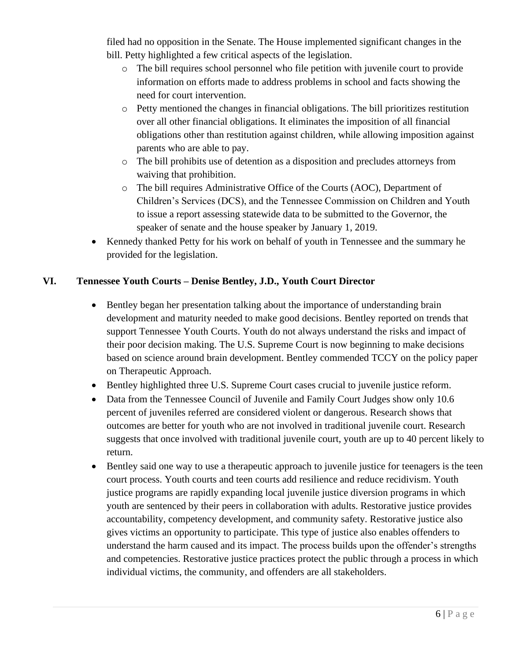filed had no opposition in the Senate. The House implemented significant changes in the bill. Petty highlighted a few critical aspects of the legislation.

- o The bill requires school personnel who file petition with juvenile court to provide information on efforts made to address problems in school and facts showing the need for court intervention.
- o Petty mentioned the changes in financial obligations. The bill prioritizes restitution over all other financial obligations. It eliminates the imposition of all financial obligations other than restitution against children, while allowing imposition against parents who are able to pay.
- o The bill prohibits use of detention as a disposition and precludes attorneys from waiving that prohibition.
- o The bill requires Administrative Office of the Courts (AOC), Department of Children's Services (DCS), and the Tennessee Commission on Children and Youth to issue a report assessing statewide data to be submitted to the Governor, the speaker of senate and the house speaker by January 1, 2019.
- Kennedy thanked Petty for his work on behalf of youth in Tennessee and the summary he provided for the legislation.

## **VI. Tennessee Youth Courts – Denise Bentley, J.D., Youth Court Director**

- Bentley began her presentation talking about the importance of understanding brain development and maturity needed to make good decisions. Bentley reported on trends that support Tennessee Youth Courts. Youth do not always understand the risks and impact of their poor decision making. The U.S. Supreme Court is now beginning to make decisions based on science around brain development. Bentley commended TCCY on the policy paper on Therapeutic Approach.
- Bentley highlighted three U.S. Supreme Court cases crucial to juvenile justice reform.
- Data from the Tennessee Council of Juvenile and Family Court Judges show only 10.6 percent of juveniles referred are considered violent or dangerous. Research shows that outcomes are better for youth who are not involved in traditional juvenile court. Research suggests that once involved with traditional juvenile court, youth are up to 40 percent likely to return.
- Bentley said one way to use a therapeutic approach to juvenile justice for teenagers is the teen court process. Youth courts and teen courts add resilience and reduce recidivism. Youth justice programs are rapidly expanding local juvenile justice diversion programs in which youth are sentenced by their peers in collaboration with adults. Restorative justice provides accountability, competency development, and community safety. Restorative justice also gives victims an opportunity to participate. This type of justice also enables offenders to understand the harm caused and its impact. The process builds upon the offender's strengths and competencies. Restorative justice practices protect the public through a process in which individual victims, the community, and offenders are all stakeholders.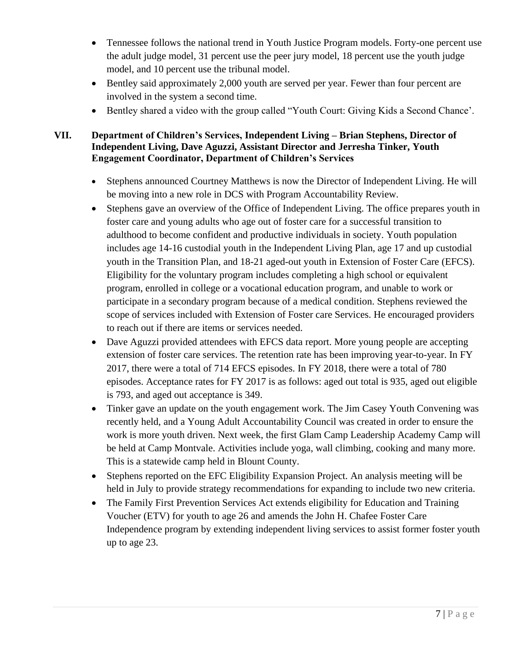- Tennessee follows the national trend in Youth Justice Program models. Forty-one percent use the adult judge model, 31 percent use the peer jury model, 18 percent use the youth judge model, and 10 percent use the tribunal model.
- Bentley said approximately 2,000 youth are served per year. Fewer than four percent are involved in the system a second time.
- Bentley shared a video with the group called "Youth Court: Giving Kids a Second Chance'.

## **VII. Department of Children's Services, Independent Living – Brian Stephens, Director of Independent Living, Dave Aguzzi, Assistant Director and Jerresha Tinker, Youth Engagement Coordinator, Department of Children's Services**

- Stephens announced Courtney Matthews is now the Director of Independent Living. He will be moving into a new role in DCS with Program Accountability Review.
- Stephens gave an overview of the Office of Independent Living. The office prepares youth in foster care and young adults who age out of foster care for a successful transition to adulthood to become confident and productive individuals in society. Youth population includes age 14-16 custodial youth in the Independent Living Plan, age 17 and up custodial youth in the Transition Plan, and 18-21 aged-out youth in Extension of Foster Care (EFCS). Eligibility for the voluntary program includes completing a high school or equivalent program, enrolled in college or a vocational education program, and unable to work or participate in a secondary program because of a medical condition. Stephens reviewed the scope of services included with Extension of Foster care Services. He encouraged providers to reach out if there are items or services needed.
- Dave Aguzzi provided attendees with EFCS data report. More young people are accepting extension of foster care services. The retention rate has been improving year-to-year. In FY 2017, there were a total of 714 EFCS episodes. In FY 2018, there were a total of 780 episodes. Acceptance rates for FY 2017 is as follows: aged out total is 935, aged out eligible is 793, and aged out acceptance is 349.
- Tinker gave an update on the youth engagement work. The Jim Casey Youth Convening was recently held, and a Young Adult Accountability Council was created in order to ensure the work is more youth driven. Next week, the first Glam Camp Leadership Academy Camp will be held at Camp Montvale. Activities include yoga, wall climbing, cooking and many more. This is a statewide camp held in Blount County.
- Stephens reported on the EFC Eligibility Expansion Project. An analysis meeting will be held in July to provide strategy recommendations for expanding to include two new criteria.
- The Family First Prevention Services Act extends eligibility for Education and Training Voucher (ETV) for youth to age 26 and amends the John H. Chafee Foster Care Independence program by extending independent living services to assist former foster youth up to age 23.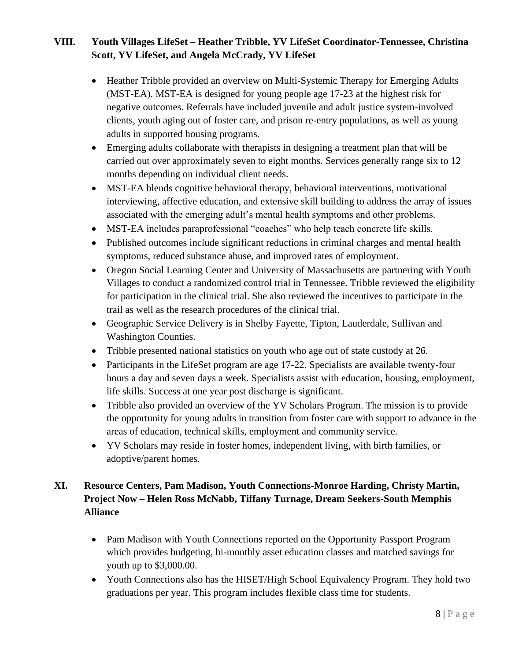# **VIII. Youth Villages LifeSet – Heather Tribble, YV LifeSet Coordinator-Tennessee, Christina Scott, YV LifeSet, and Angela McCrady, YV LifeSet**

- Heather Tribble provided an overview on Multi-Systemic Therapy for Emerging Adults (MST-EA). MST-EA is designed for young people age 17-23 at the highest risk for negative outcomes. Referrals have included juvenile and adult justice system-involved clients, youth aging out of foster care, and prison re-entry populations, as well as young adults in supported housing programs.
- Emerging adults collaborate with therapists in designing a treatment plan that will be carried out over approximately seven to eight months. Services generally range six to 12 months depending on individual client needs.
- MST-EA blends cognitive behavioral therapy, behavioral interventions, motivational interviewing, affective education, and extensive skill building to address the array of issues associated with the emerging adult's mental health symptoms and other problems.
- MST-EA includes paraprofessional "coaches" who help teach concrete life skills.
- Published outcomes include significant reductions in criminal charges and mental health symptoms, reduced substance abuse, and improved rates of employment.
- Oregon Social Learning Center and University of Massachusetts are partnering with Youth Villages to conduct a randomized control trial in Tennessee. Tribble reviewed the eligibility for participation in the clinical trial. She also reviewed the incentives to participate in the trail as well as the research procedures of the clinical trial.
- Geographic Service Delivery is in Shelby Fayette, Tipton, Lauderdale, Sullivan and Washington Counties.
- Tribble presented national statistics on youth who age out of state custody at 26.
- Participants in the LifeSet program are age 17-22. Specialists are available twenty-four hours a day and seven days a week. Specialists assist with education, housing, employment, life skills. Success at one year post discharge is significant.
- Tribble also provided an overview of the YV Scholars Program. The mission is to provide the opportunity for young adults in transition from foster care with support to advance in the areas of education, technical skills, employment and community service.
- YV Scholars may reside in foster homes, independent living, with birth families, or adoptive/parent homes.

## **XI. Resource Centers, Pam Madison, Youth Connections-Monroe Harding, Christy Martin, Project Now – Helen Ross McNabb, Tiffany Turnage, Dream Seekers-South Memphis Alliance**

- Pam Madison with Youth Connections reported on the Opportunity Passport Program which provides budgeting, bi-monthly asset education classes and matched savings for youth up to \$3,000.00.
- Youth Connections also has the HISET/High School Equivalency Program. They hold two graduations per year. This program includes flexible class time for students.